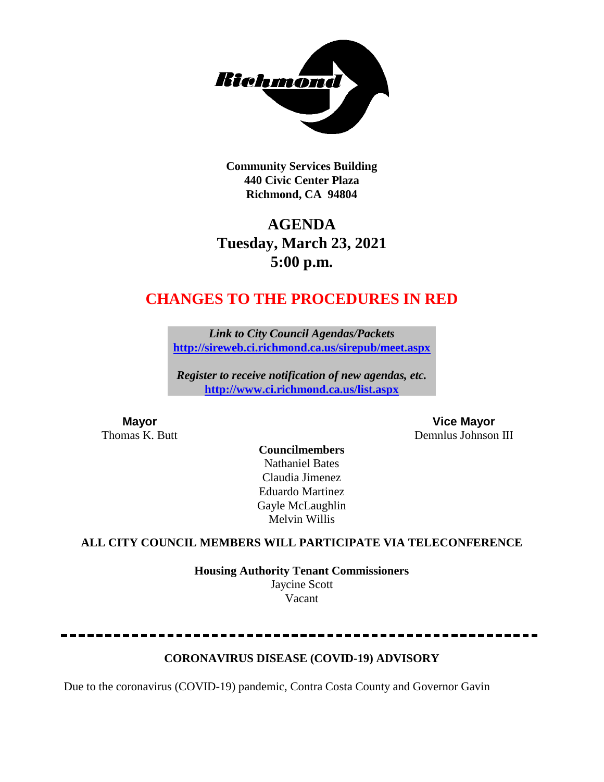

**Community Services Building 440 Civic Center Plaza Richmond, CA 94804**

# **AGENDA Tuesday, March 23, 2021 5:00 p.m.**

# **CHANGES TO THE PROCEDURES IN RED**

*Link to City Council Agendas/Packets* **<http://sireweb.ci.richmond.ca.us/sirepub/meet.aspx>**

*Register to receive notification of new agendas, etc.* **<http://www.ci.richmond.ca.us/list.aspx>**

**Mayor Vice Mayor**<br> **Vice Mayor**<br> **Community Community Community Community Community Community Community Community Community Community Community Community Community Community Community Commu** Demnlus Johnson III

#### **Councilmembers** Nathaniel Bates Claudia Jimenez Eduardo Martinez Gayle McLaughlin Melvin Willis

#### **ALL CITY COUNCIL MEMBERS WILL PARTICIPATE VIA TELECONFERENCE**

**Housing Authority Tenant Commissioners** Jaycine Scott Vacant

#### **CORONAVIRUS DISEASE (COVID-19) ADVISORY**

Due to the coronavirus (COVID-19) pandemic, Contra Costa County and Governor Gavin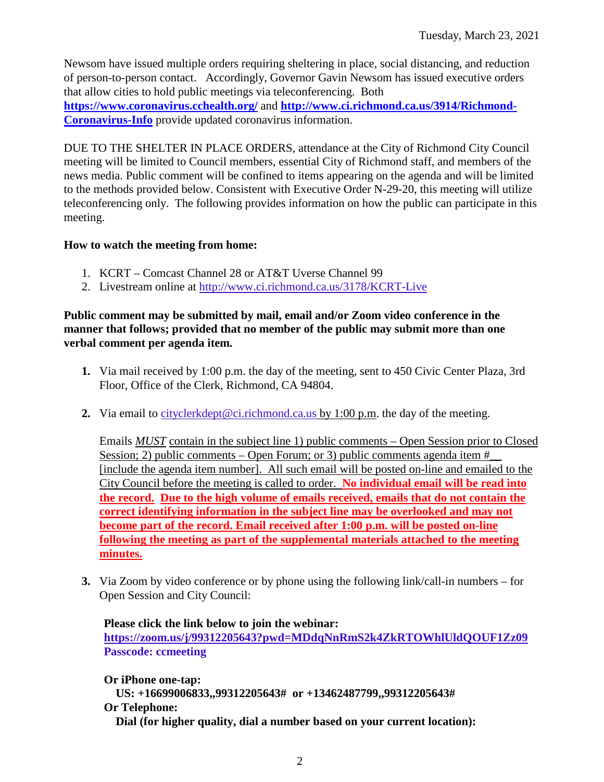Newsom have issued multiple orders requiring sheltering in place, social distancing, and reduction of person-to-person contact. Accordingly, Governor Gavin Newsom has issued executive orders that allow cities to hold public meetings via teleconferencing. Both **<https://www.coronavirus.cchealth.org/>** and **[http://www.ci.richmond.ca.us/3914/Richmond-](http://www.ci.richmond.ca.us/3914/Richmond-Coronavirus-Info)**

**[Coronavirus-Info](http://www.ci.richmond.ca.us/3914/Richmond-Coronavirus-Info)** provide updated coronavirus information.

DUE TO THE SHELTER IN PLACE ORDERS, attendance at the City of Richmond City Council meeting will be limited to Council members, essential City of Richmond staff, and members of the news media. Public comment will be confined to items appearing on the agenda and will be limited to the methods provided below. Consistent with Executive Order N-29-20, this meeting will utilize teleconferencing only. The following provides information on how the public can participate in this meeting.

#### **How to watch the meeting from home:**

- 1. KCRT Comcast Channel 28 or AT&T Uverse Channel 99
- 2. Livestream online at<http://www.ci.richmond.ca.us/3178/KCRT-Live>

#### **Public comment may be submitted by mail, email and/or Zoom video conference in the manner that follows; provided that no member of the public may submit more than one verbal comment per agenda item.**

- **1.** Via mail received by 1:00 p.m. the day of the meeting, sent to 450 Civic Center Plaza, 3rd Floor, Office of the Clerk, Richmond, CA 94804.
- **2.** Via email to [cityclerkdept@ci.richmond.ca.us](mailto:cityclerkdept@ci.richmond.ca.us) by 1:00 p.m. the day of the meeting.

Emails *MUST* contain in the subject line 1) public comments – Open Session prior to Closed Session; 2) public comments – Open Forum; or 3) public comments agenda item  $#$ [include the agenda item number]. All such email will be posted on-line and emailed to the City Council before the meeting is called to order. **No individual email will be read into the record. Due to the high volume of emails received, emails that do not contain the correct identifying information in the subject line may be overlooked and may not become part of the record. Email received after 1:00 p.m. will be posted on-line following the meeting as part of the supplemental materials attached to the meeting minutes.**

**3.** Via Zoom by video conference or by phone using the following link/call-in numbers – for Open Session and City Council:

**Please click the link below to join the webinar: <https://zoom.us/j/99312205643?pwd=MDdqNnRmS2k4ZkRTOWhlUldQOUF1Zz09> Passcode: ccmeeting**

**Or iPhone one-tap: US: +16699006833,,99312205643# or +13462487799,,99312205643# Or Telephone: Dial (for higher quality, dial a number based on your current location):**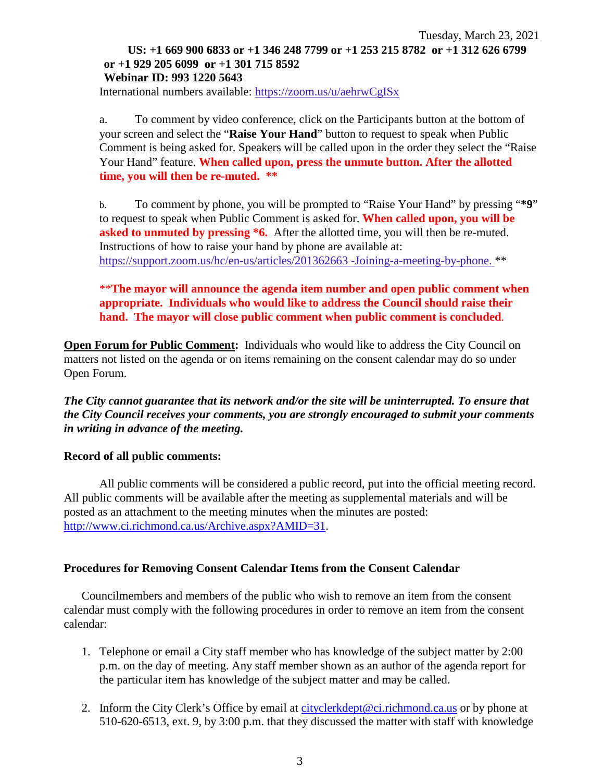#### Tuesday, March 23, 2021 **US: +1 669 900 6833 or +1 346 248 7799 or +1 253 215 8782 or +1 312 626 6799 or +1 929 205 6099 or +1 301 715 8592 Webinar ID: 993 1220 5643**

International numbers available: <https://zoom.us/u/aehrwCgISx>

a. To comment by video conference, click on the Participants button at the bottom of your screen and select the "**Raise Your Hand**" button to request to speak when Public Comment is being asked for. Speakers will be called upon in the order they select the "Raise Your Hand" feature. **When called upon, press the unmute button. After the allotted time, you will then be re-muted. \*\***

b. To comment by phone, you will be prompted to "Raise Your Hand" by pressing "**\*9**" to request to speak when Public Comment is asked for. **When called upon, you will be asked to unmuted by pressing \*6.** After the allotted time, you will then be re-muted. Instructions of how to raise your hand by phone are available at: [https://support.zoom.us/hc/en-us/articles/201362663 -Joining-a-meeting-by-phone.](https://support.zoom.us/hc/en-us/articles/201362663) \*\*

\*\***The mayor will announce the agenda item number and open public comment when appropriate. Individuals who would like to address the Council should raise their hand. The mayor will close public comment when public comment is concluded**.

**Open Forum for Public Comment:** Individuals who would like to address the City Council on matters not listed on the agenda or on items remaining on the consent calendar may do so under Open Forum.

*The City cannot guarantee that its network and/or the site will be uninterrupted. To ensure that the City Council receives your comments, you are strongly encouraged to submit your comments in writing in advance of the meeting.* 

#### **Record of all public comments:**

All public comments will be considered a public record, put into the official meeting record. All public comments will be available after the meeting as supplemental materials and will be posted as an attachment to the meeting minutes when the minutes are posted: [http://www.ci.richmond.ca.us/Archive.aspx?AMID=31.](http://www.ci.richmond.ca.us/Archive.aspx?AMID=31)

#### **Procedures for Removing Consent Calendar Items from the Consent Calendar**

Councilmembers and members of the public who wish to remove an item from the consent calendar must comply with the following procedures in order to remove an item from the consent calendar:

- 1. Telephone or email a City staff member who has knowledge of the subject matter by 2:00 p.m. on the day of meeting. Any staff member shown as an author of the agenda report for the particular item has knowledge of the subject matter and may be called.
- 2. Inform the City Clerk's Office by email at [cityclerkdept@ci.richmond.ca.us](mailto:cityclerkdept@ci.richmond.ca.us) or by phone at 510-620-6513, ext. 9, by 3:00 p.m. that they discussed the matter with staff with knowledge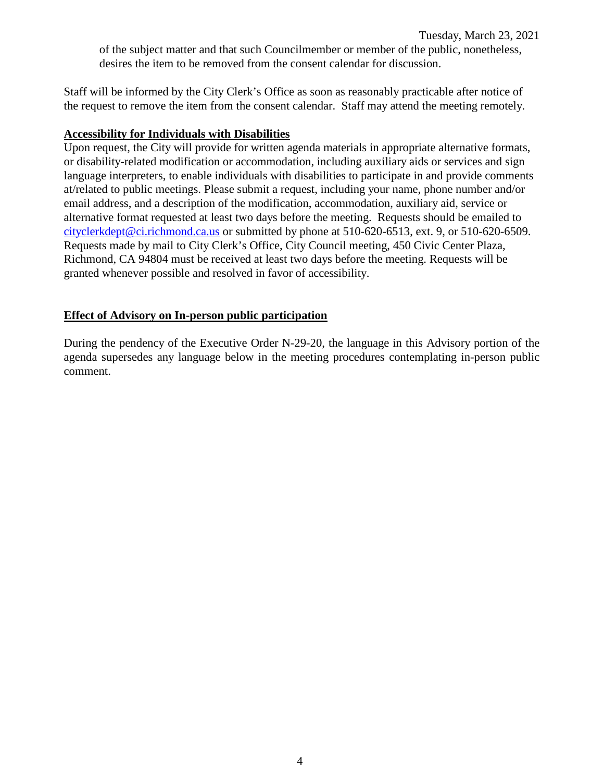Tuesday, March 23, 2021 of the subject matter and that such Councilmember or member of the public, nonetheless, desires the item to be removed from the consent calendar for discussion.

Staff will be informed by the City Clerk's Office as soon as reasonably practicable after notice of the request to remove the item from the consent calendar. Staff may attend the meeting remotely.

#### **Accessibility for Individuals with Disabilities**

Upon request, the City will provide for written agenda materials in appropriate alternative formats, or disability-related modification or accommodation, including auxiliary aids or services and sign language interpreters, to enable individuals with disabilities to participate in and provide comments at/related to public meetings. Please submit a request, including your name, phone number and/or email address, and a description of the modification, accommodation, auxiliary aid, service or alternative format requested at least two days before the meeting. Requests should be emailed to [cityclerkdept@ci.richmond.ca.us](mailto:cityclerkdept@ci.richmond.ca.us) or submitted by phone at 510-620-6513, ext. 9, or 510-620-6509. Requests made by mail to City Clerk's Office, City Council meeting, 450 Civic Center Plaza, Richmond, CA 94804 must be received at least two days before the meeting. Requests will be granted whenever possible and resolved in favor of accessibility.

#### **Effect of Advisory on In-person public participation**

During the pendency of the Executive Order N-29-20, the language in this Advisory portion of the agenda supersedes any language below in the meeting procedures contemplating in-person public comment.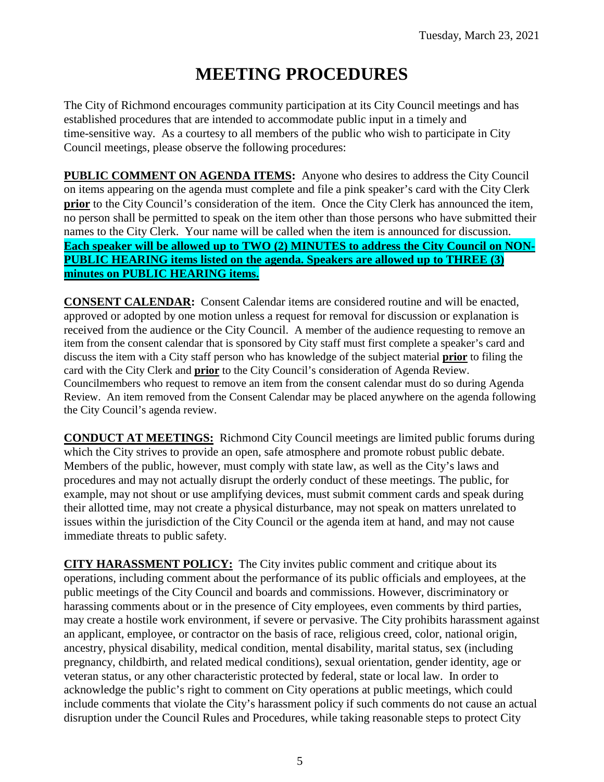# **MEETING PROCEDURES**

The City of Richmond encourages community participation at its City Council meetings and has established procedures that are intended to accommodate public input in a timely and time-sensitive way. As a courtesy to all members of the public who wish to participate in City Council meetings, please observe the following procedures:

**PUBLIC COMMENT ON AGENDA ITEMS:** Anyone who desires to address the City Council on items appearing on the agenda must complete and file a pink speaker's card with the City Clerk **prior** to the City Council's consideration of the item. Once the City Clerk has announced the item, no person shall be permitted to speak on the item other than those persons who have submitted their names to the City Clerk. Your name will be called when the item is announced for discussion. **Each speaker will be allowed up to TWO (2) MINUTES to address the City Council on NON-PUBLIC HEARING items listed on the agenda. Speakers are allowed up to THREE (3) minutes on PUBLIC HEARING items.**

**CONSENT CALENDAR:** Consent Calendar items are considered routine and will be enacted, approved or adopted by one motion unless a request for removal for discussion or explanation is received from the audience or the City Council. A member of the audience requesting to remove an item from the consent calendar that is sponsored by City staff must first complete a speaker's card and discuss the item with a City staff person who has knowledge of the subject material **prior** to filing the card with the City Clerk and **prior** to the City Council's consideration of Agenda Review. Councilmembers who request to remove an item from the consent calendar must do so during Agenda Review. An item removed from the Consent Calendar may be placed anywhere on the agenda following the City Council's agenda review.

**CONDUCT AT MEETINGS:** Richmond City Council meetings are limited public forums during which the City strives to provide an open, safe atmosphere and promote robust public debate. Members of the public, however, must comply with state law, as well as the City's laws and procedures and may not actually disrupt the orderly conduct of these meetings. The public, for example, may not shout or use amplifying devices, must submit comment cards and speak during their allotted time, may not create a physical disturbance, may not speak on matters unrelated to issues within the jurisdiction of the City Council or the agenda item at hand, and may not cause immediate threats to public safety.

**CITY HARASSMENT POLICY:** The City invites public comment and critique about its operations, including comment about the performance of its public officials and employees, at the public meetings of the City Council and boards and commissions. However, discriminatory or harassing comments about or in the presence of City employees, even comments by third parties, may create a hostile work environment, if severe or pervasive. The City prohibits harassment against an applicant, employee, or contractor on the basis of race, religious creed, color, national origin, ancestry, physical disability, medical condition, mental disability, marital status, sex (including pregnancy, childbirth, and related medical conditions), sexual orientation, gender identity, age or veteran status, or any other characteristic protected by federal, state or local law. In order to acknowledge the public's right to comment on City operations at public meetings, which could include comments that violate the City's harassment policy if such comments do not cause an actual disruption under the Council Rules and Procedures, while taking reasonable steps to protect City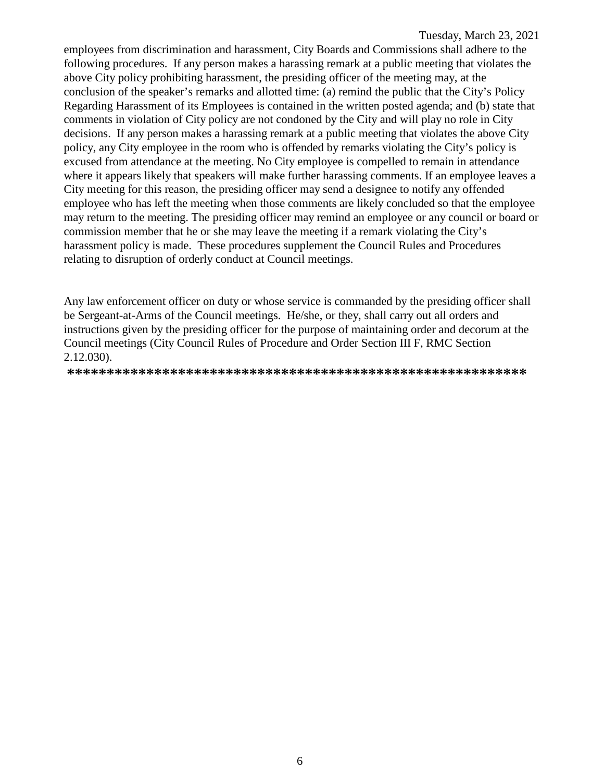employees from discrimination and harassment, City Boards and Commissions shall adhere to the following procedures. If any person makes a harassing remark at a public meeting that violates the above City policy prohibiting harassment, the presiding officer of the meeting may, at the conclusion of the speaker's remarks and allotted time: (a) remind the public that the City's Policy Regarding Harassment of its Employees is contained in the written posted agenda; and (b) state that comments in violation of City policy are not condoned by the City and will play no role in City decisions. If any person makes a harassing remark at a public meeting that violates the above City policy, any City employee in the room who is offended by remarks violating the City's policy is excused from attendance at the meeting. No City employee is compelled to remain in attendance where it appears likely that speakers will make further harassing comments. If an employee leaves a City meeting for this reason, the presiding officer may send a designee to notify any offended employee who has left the meeting when those comments are likely concluded so that the employee may return to the meeting. The presiding officer may remind an employee or any council or board or commission member that he or she may leave the meeting if a remark violating the City's harassment policy is made. These procedures supplement the Council Rules and Procedures relating to disruption of orderly conduct at Council meetings.

Any law enforcement officer on duty or whose service is commanded by the presiding officer shall be Sergeant-at-Arms of the Council meetings. He/she, or they, shall carry out all orders and instructions given by the presiding officer for the purpose of maintaining order and decorum at the Council meetings (City Council Rules of Procedure and Order Section III F, RMC Section 2.12.030).

**\*\*\*\*\*\*\*\*\*\*\*\*\*\*\*\*\*\*\*\*\*\*\*\*\*\*\*\*\*\*\*\*\*\*\*\*\*\*\*\*\*\*\*\*\*\*\*\*\*\*\*\*\*\*\*\*\*\***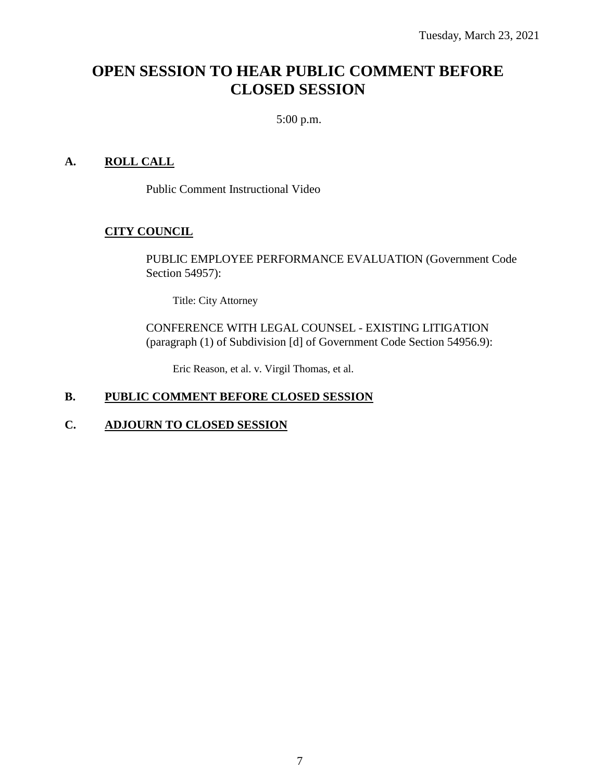## **OPEN SESSION TO HEAR PUBLIC COMMENT BEFORE CLOSED SESSION**

5:00 p.m.

#### **A. ROLL CALL**

Public Comment Instructional Video

#### **CITY COUNCIL**

PUBLIC EMPLOYEE PERFORMANCE EVALUATION (Government Code Section 54957):

Title: City Attorney

CONFERENCE WITH LEGAL COUNSEL - EXISTING LITIGATION (paragraph (1) of Subdivision [d] of Government Code Section 54956.9):

Eric Reason, et al. v. Virgil Thomas, et al.

#### **B. PUBLIC COMMENT BEFORE CLOSED SESSION**

#### **C. ADJOURN TO CLOSED SESSION**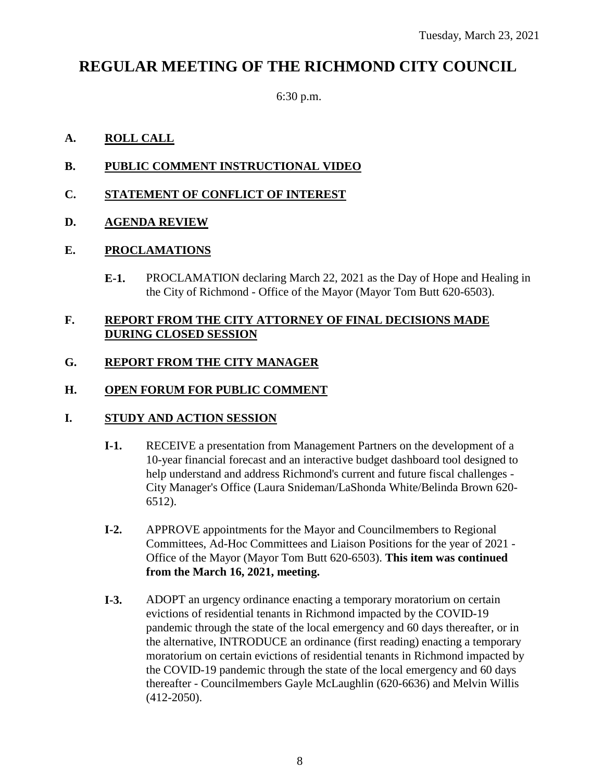# **REGULAR MEETING OF THE RICHMOND CITY COUNCIL**

6:30 p.m.

#### **A. ROLL CALL**

#### **B. PUBLIC COMMENT INSTRUCTIONAL VIDEO**

#### **C. STATEMENT OF CONFLICT OF INTEREST**

#### **D. AGENDA REVIEW**

#### **E. PROCLAMATIONS**

**E-1.** PROCLAMATION declaring March 22, 2021 as the Day of Hope and Healing in the City of Richmond - Office of the Mayor (Mayor Tom Butt 620-6503).

#### **F. REPORT FROM THE CITY ATTORNEY OF FINAL DECISIONS MADE DURING CLOSED SESSION**

#### **G. REPORT FROM THE CITY MANAGER**

#### **H. OPEN FORUM FOR PUBLIC COMMENT**

#### **I. STUDY AND ACTION SESSION**

- **I-1.** RECEIVE a presentation from Management Partners on the development of a 10-year financial forecast and an interactive budget dashboard tool designed to help understand and address Richmond's current and future fiscal challenges - City Manager's Office (Laura Snideman/LaShonda White/Belinda Brown 620- 6512).
- **I-2.** APPROVE appointments for the Mayor and Councilmembers to Regional Committees, Ad-Hoc Committees and Liaison Positions for the year of 2021 - Office of the Mayor (Mayor Tom Butt 620-6503). **This item was continued from the March 16, 2021, meeting.**
- **I-3.** ADOPT an urgency ordinance enacting a temporary moratorium on certain evictions of residential tenants in Richmond impacted by the COVID-19 pandemic through the state of the local emergency and 60 days thereafter, or in the alternative, INTRODUCE an ordinance (first reading) enacting a temporary moratorium on certain evictions of residential tenants in Richmond impacted by the COVID-19 pandemic through the state of the local emergency and 60 days thereafter - Councilmembers Gayle McLaughlin (620-6636) and Melvin Willis (412-2050).